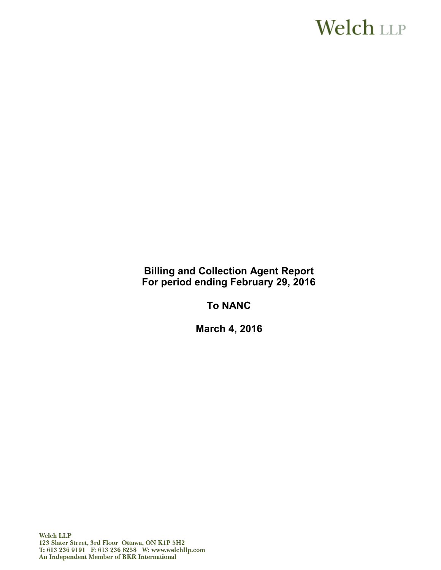# **Welch LLP**

**Billing and Collection Agent Report For period ending February 29, 2016**

**To NANC**

**March 4, 2016**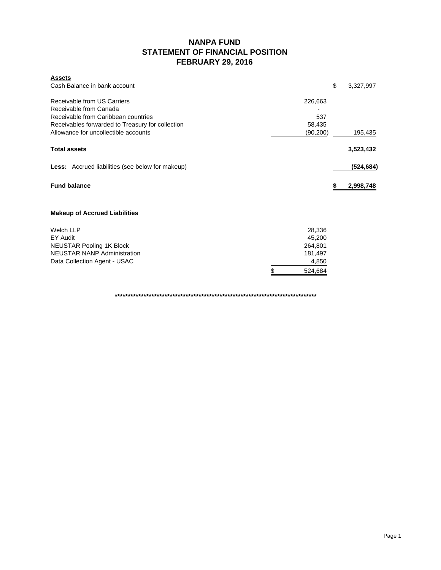### **NANPA FUND STATEMENT OF FINANCIAL POSITION FEBRUARY 29, 2016**

|     | \$ | 3,327,997                                                                                    |
|-----|----|----------------------------------------------------------------------------------------------|
| 537 |    |                                                                                              |
|     |    | 195,435                                                                                      |
|     |    | 3,523,432                                                                                    |
|     |    | (524, 684)                                                                                   |
|     | S  | 2,998,748                                                                                    |
|     |    |                                                                                              |
|     |    |                                                                                              |
|     |    |                                                                                              |
|     |    |                                                                                              |
|     |    |                                                                                              |
| \$  |    |                                                                                              |
|     |    | 226,663<br>58,435<br>(90, 200)<br>28,336<br>45,200<br>264,801<br>181,497<br>4,850<br>524,684 |

**\*\*\*\*\*\*\*\*\*\*\*\*\*\*\*\*\*\*\*\*\*\*\*\*\*\*\*\*\*\*\*\*\*\*\*\*\*\*\*\*\*\*\*\*\*\*\*\*\*\*\*\*\*\*\*\*\*\*\*\*\*\*\*\*\*\*\*\*\*\*\*\*\*\*\*\*\***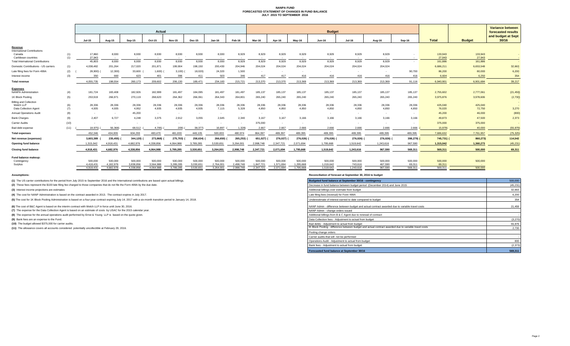#### **NANPA FUND FORECASTED STATEMENT OF CHANGES IN FUND BALANCE JULY 2015 TO SEPTEMBER 2016**

|                                                |            | Actual               |                      |                      |                      |                      |                      |                      | <b>Budget</b>        |                            |                      |                           |                           |                     |                    |                   |                   | <b>Variance between</b> |                                          |
|------------------------------------------------|------------|----------------------|----------------------|----------------------|----------------------|----------------------|----------------------|----------------------|----------------------|----------------------------|----------------------|---------------------------|---------------------------|---------------------|--------------------|-------------------|-------------------|-------------------------|------------------------------------------|
|                                                |            |                      |                      |                      |                      |                      |                      |                      |                      |                            |                      |                           |                           |                     |                    |                   | <b>Total</b>      |                         | forecasted results<br>and budget at Sept |
|                                                |            | <b>Jul-15</b>        | Aug-15               | Sep-15               | Oct-15               | <b>Nov-15</b>        | <b>Dec-15</b>        | <b>Jan-16</b>        | Feb-16               | Mar-16                     | Apr-16               | Mav-16                    | <b>Jun-16</b>             | Jul-16              | Aug-16             | Sep-16            |                   | <b>Budget</b>           | 30/16                                    |
| Revenue<br><b>International Contributions</b>  |            |                      |                      |                      |                      |                      |                      |                      |                      |                            |                      |                           |                           |                     |                    |                   |                   |                         |                                          |
| Canada<br>Caribbean countries                  | (1)<br>(1) | 17,860<br>27,943     | 8,930<br>$\sim$ $-$  | 8,930<br>$\sim 100$  | 8,930<br>$\sim$ $-$  | 8,930<br>$\sim$      | 8,930                | 8,930<br>$\sim$ $-$  | 8,929<br>$\sim$      | 8,929<br>$\sim$ 100 $\sim$ | 8,929<br>$\sim$      | 8,929<br>$\sim$ 100 $\mu$ | 8,929<br>$\sim$ 100 $\mu$ | 8,929<br>$\sim$ $-$ | 8,929<br>$\sim$    | $\sim$            | 133,943<br>27,943 | 133,943<br>27,943       |                                          |
| <b>Total International Contributions</b>       |            | 45,803               | 8,930                | 8,930                | 8,930                | 8,930                | 8,930                | 8,930                | 8,929                | 8,929                      | 8,929                | 8,929                     | 8,929                     | 8,929               | 8,929              | $\sim$            | 161,886           | 161,886                 |                                          |
| Domestic Contributions - US carriers           | (1)        | 4.038.482            | 201,264              | 217,020              | 201,871              | 199,904              | 198.150              | 200.430              | 204.946              | 204,024                    | 204,024              | 204,024                   | 204,024                   | 204.024             | 204.024            |                   | 6.686.211         | 6,653,548               | 32,663                                   |
| Late filing fees for Form 499A                 | (2)        | 28,900)              | 12,300)              | 33,600               | 1,600)               | 3,100(               | 18,020)              | 24,320               | 1,500                |                            |                      |                           |                           |                     |                    | 90,700            | 86,200            | 80,000                  | 6,200                                    |
| Interest income                                | (3)        | 350                  | 660                  | 623                  | 401                  | 396                  | 411                  | 503                  | 346                  | 417                        | 417                  | 416                       | 416                       | 416                 | 416                | 416               | 6,604             | 6.250                   | 354                                      |
| <b>Total revenue</b>                           |            | 4.055.735            | 198,554              | 260,173              | 209,602              | 206,130              | 189,471              | 234,183              | 215,721              | 213,370                    | 213,370              | 213,369                   | 213,369                   | 213,369             | 213,369            | 91,116            | 6,940,901         | 6,901,684               | 39,217                                   |
| <b>Expenses</b><br><b>NANPA Administration</b> | (4)        | 181,724              | 183,408              | 182,926              | 182,999              | 181,497              | 184,095              | 181,497              | 181,497              | 185,137                    | 185,137              | 185,137                   | 185,137                   | 185,137             | 185,137            | 185,137           | 2,755,602         | 2,777,061               | (21, 459)                                |
| 1K Block Pooling                               | (5)        | 253,919              | 266,971              | 270,119              | 268,620              | 264,362              | 266,061              | 264,343              | 264,801              | 265,240                    | 265,240              | 265,240                   | 265,240                   | 265,240             | 265,240            | 265,240           | 3,975,876         | 3,978,606               |                                          |
| <b>Billing and Collection</b>                  |            |                      |                      |                      |                      |                      |                      |                      |                      |                            |                      |                           |                           |                     |                    |                   |                   |                         | (2,730)                                  |
| Welch LLP<br>Data Collection Agent             | (6)<br>(7) | 28,336<br>4,935      | 28,336<br>4,935      | 28,336<br>4,952      | 28,336<br>4,935      | 28,336<br>4,935      | 28,336<br>4,935      | 28,336<br>7,115      | 28,336<br>5,328      | 28,336<br>4,850            | 28,336<br>4,850      | 28,336<br>4.850           | 28,336<br>4,850           | 28,336<br>4,850     | 28,336<br>4,850    | 28,336<br>4.850   | 425,040<br>76,020 | 425,040<br>72,750       | 3,270                                    |
| <b>Annual Operations Audit</b>                 | (8)        | $\sim$               | $\sim$               | 45,200               | $\sim$               | $\sim$               | $\sim$               | $\sim$               |                      | $\sim$                     | $\sim$               |                           | $\sim$                    | $\sim$              |                    | $\sim$            | 45,200            | 46,000                  | (800)                                    |
| <b>Bank Charges</b>                            | (9)        | 2.407                | 6,727                | 4,248                | 3.375                | 2,912                | 3.055                | 2,645                | 2.340                | 3.167                      | 3.167                | 3.166                     | 3.166                     | 3.166               | 3.166              | 3.166             | 49,873            | 47,500                  | 2,373                                    |
| Carrier Audits                                 | (10)       | $\sim$               | $\sim$               | $\sim$               |                      | $\sim$               | $\sim$               |                      |                      | 375,000                    |                      |                           |                           |                     |                    | $\sim$            | 375,000           | 375,000                 |                                          |
| Bad debt expense                               | (11)       | 18.975)              | 56,368)              | 68,512               | 4,795)               | 209)                 | 38,377)              | 16,897               | 1,328)               | 2,667                      | 2,667                | 2,666                     | 2,666                     | 2,666               | 2,666              | 2,666             | 15,979)           | 40,000                  | (55, 979)                                |
| <b>Total expenses</b>                          |            | 452,346              | 434,009              | 604.293              | 483.470              | 481.833              | 448.105              | 500.833              | 480.974              | 864.397                    | 489.397              | 489.395                   | 489,395                   | 489.395             | 489.395            | 489.395           | 7.686.632         | 7.761.957               | (75, 325)                                |
| Net revenue (expenses)                         |            | 3,603,389            | 235,455)             | 344,120)             | 273,868)             | 275,703) (           | 258,634)             | 266,650)             | 265,253)             | 651,027)                   | 276,027)             | 276,026)                  | 276,026)                  | 276,026)            | 276,026)           | 398,279)          | 745,731) (        | 860,273)                | 114,542                                  |
| <b>Opening fund balance</b>                    |            | 1,315,042            | 4,918,431            | 4.682.976            | 4.338.856            | 4,064,988            | 3,789,285            | 3,530,651            | 3.264.001            | 2,998,748                  | 2,347,721            | 2,071,694                 | 1,795,668                 | 1,519,642           | 1,243,616          | 967,590           | 1,315,042         | 1,360,273               | (45, 231)                                |
| <b>Closing fund balance</b>                    |            | 4,918,431            | 4,682,976            | 4.338.856            | 4,064,988            | 3,789,285            | 3,530,651            | 3,264,001            | 2,998,748            | 2,347,721                  | 2,071,694            | 1,795,668                 | 1,519,642                 | 1,243,616           | 967,590            | 569,311           | 569,311           | 500,000                 | 69,311                                   |
| Fund balance makeup:                           |            |                      |                      |                      |                      |                      |                      |                      |                      |                            |                      |                           |                           |                     |                    |                   |                   |                         |                                          |
| Contingency<br>Surplus                         |            | 500,000<br>4.418.431 | 500,000<br>4,182,976 | 500,000<br>3,838,856 | 500,000<br>3,564,988 | 500,000<br>3,289,285 | 500,000<br>3,030,651 | 500,000<br>2,764,001 | 500,000<br>2,498,748 | 500,000<br>1,847,721       | 500,000<br>1,571,694 | 500,000<br>1,295,668      | 500,000<br>1,019,642      | 500,000<br>743.616  | 500,000<br>467,590 | 500,000<br>69.311 | 500,000<br>69.311 | 500,000<br>$\sim$       |                                          |
|                                                |            | 4.918.431            | 4.682.976            | 4.338.856            | 4.064.988            | 3,789,285            | 3,530,651            | 3,264,001            | 2,998,748            | 2,347,721                  | 2,071,694            | 1.795.668                 | 1.519.642                 | 1,243,616           | 967.590            | 569.311           | 569,311           | 500,000                 |                                          |

**(1)** The US carrier contributions for the period from July 2015 to September 2016 and the International contributions are based upon actual billings.

(2) These fees represent the \$100 late filing fee charged to those companies that do not file the Form 499A by the due date.

**(3)** Interest income projections are estimates

**(4)** The cost for NANP Administration is based on the contract awarded in 2013. The contract expires in July 2017.

(5) The cost for 1K Block Pooling Administration is based on a four-year contract expiring July 14, 2017 with a six-month transition period to January 14, 2018.

**(6)** The cost of B&C Agent is based on the interim contract with Welch LLP in force until June 30, 2016.

**(7)** The expense for the Data Collection Agent is based on an estimate of costs by USAC for the 2015 calendar year.

**(8)** The expense for the annual operations audit performed by Ernst & Young LLP is based on the quote given.

**(9)** Bank fees are an expense to the Fund.

**(10)** The budget allowed \$375,000 for carrier audits.

**(11)** The allowance covers all accounts considered potentially uncollectible at February 29, 2016.

**Assumptions: Reconciliation of forecast at September 30, 2016 to budget**

| Budgeted fund balance at September 30/16 - contingency                                                | 500,000   |
|-------------------------------------------------------------------------------------------------------|-----------|
| Decrease in fund balance between budget period (December 2014) and June 2015                          | (45, 231) |
| Additional billings over estimate from budget                                                         | 32.663    |
| Late filing fees (reversal) for Form 499A                                                             | 6.200     |
| Underestimate of interest earned to date compared to budget                                           | 354       |
| NANP Admin - difference between budget and actual contract awarded due to variable travel costs       | 21,459    |
| NANP Admin - change orders issued                                                                     |           |
| Additional billings from B & C Agent due to renewal of contract                                       |           |
| Data Collection fees - Adjustment to actual from budget                                               | (3,270)   |
| Bad debts - Adjustment to actual from budget                                                          | 55,979    |
| IK Block Pooling - difference between budget and actual contract awarded due to variable travel costs | 2.730     |
| Pooling change orders                                                                                 |           |
| Carrier audits that will not be performed                                                             |           |
| Operations Audit - Adjustment to actual from budget                                                   | 800       |
| Bank fees - Adjustment to actual from budget                                                          | (2, 373)  |
| Forecasted fund balance at September 30/16                                                            | 569.311   |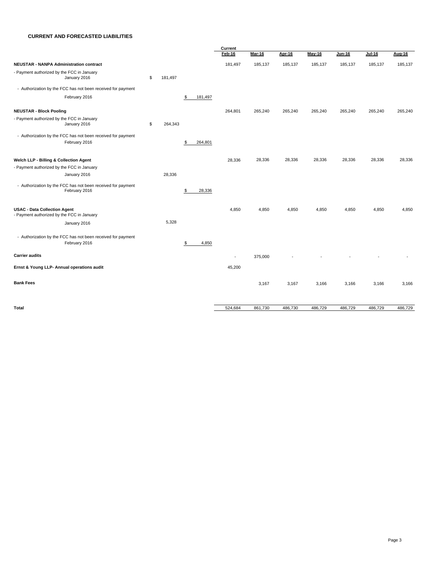#### **CURRENT AND FORECASTED LIABILITIES**

|                                                                                   |               |               | Current |               |               |         |               |         |         |  |
|-----------------------------------------------------------------------------------|---------------|---------------|---------|---------------|---------------|---------|---------------|---------|---------|--|
|                                                                                   |               |               | Feb-16  | <b>Mar-16</b> | <b>Apr-16</b> | May-16  | <b>Jun-16</b> | Jul-16  | Aug-16  |  |
| <b>NEUSTAR - NANPA Administration contract</b>                                    |               |               | 181,497 | 185,137       | 185,137       | 185,137 | 185,137       | 185,137 | 185,137 |  |
| - Payment authorized by the FCC in January<br>January 2016                        | \$<br>181,497 |               |         |               |               |         |               |         |         |  |
| - Authorization by the FCC has not been received for payment                      |               |               |         |               |               |         |               |         |         |  |
| February 2016                                                                     |               | \$<br>181,497 |         |               |               |         |               |         |         |  |
| <b>NEUSTAR - Block Pooling</b>                                                    |               |               | 264,801 | 265,240       | 265,240       | 265,240 | 265,240       | 265,240 | 265,240 |  |
| - Payment authorized by the FCC in January<br>January 2016                        | \$<br>264,343 |               |         |               |               |         |               |         |         |  |
| - Authorization by the FCC has not been received for payment<br>February 2016     |               | \$<br>264,801 |         |               |               |         |               |         |         |  |
| Welch LLP - Billing & Collection Agent                                            |               |               | 28,336  | 28,336        | 28,336        | 28,336  | 28,336        | 28,336  | 28,336  |  |
| - Payment authorized by the FCC in January                                        |               |               |         |               |               |         |               |         |         |  |
| January 2016                                                                      | 28,336        |               |         |               |               |         |               |         |         |  |
| - Authorization by the FCC has not been received for payment<br>February 2016     |               | \$<br>28,336  |         |               |               |         |               |         |         |  |
| <b>USAC - Data Collection Agent</b><br>- Payment authorized by the FCC in January |               |               | 4,850   | 4,850         | 4,850         | 4,850   | 4,850         | 4,850   | 4,850   |  |
| January 2016                                                                      | 5,328         |               |         |               |               |         |               |         |         |  |
| - Authorization by the FCC has not been received for payment<br>February 2016     |               | \$<br>4,850   |         |               |               |         |               |         |         |  |
| <b>Carrier audits</b>                                                             |               |               | $\sim$  | 375,000       |               |         |               |         |         |  |
| Ernst & Young LLP- Annual operations audit                                        |               |               | 45,200  |               |               |         |               |         |         |  |
| <b>Bank Fees</b>                                                                  |               |               |         | 3,167         | 3,167         | 3,166   | 3,166         | 3,166   | 3,166   |  |
| <b>Total</b>                                                                      |               |               | 524,684 | 861,730       | 486,730       | 486,729 | 486,729       | 486,729 | 486,729 |  |